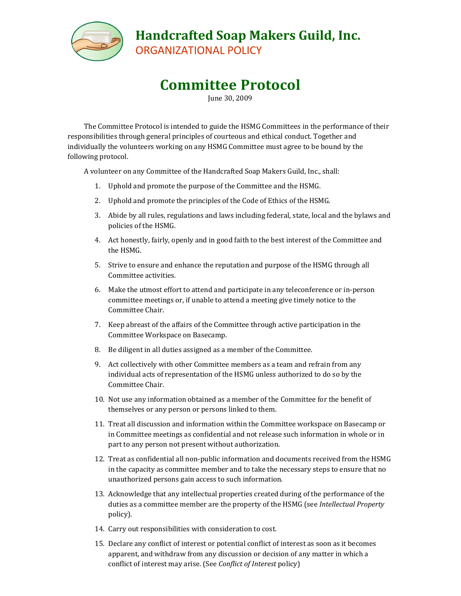

## **Handcrafted Soap Makers Guild, Inc.**

ORGANIZATIONAL POLICY

## **Committee Protocol**

June 30, 2009

The Committee Protocol is intended to guide the HSMG Committees in the performance of their responsibilities through general principles of courteous and ethical conduct. Together and individually the volunteers working on any HSMG Committee must agree to be bound by the following protocol.

A volunteer on any Committee of the Handcrafted Soap Makers Guild, Inc., shall:

- 1. Uphold and promote the purpose of the Committee and the HSMG.
- 2. Uphold and promote the principles of the Code of Ethics of the HSMG.
- 3. Abide by all rules, regulations and laws including federal, state, local and the bylaws and policies of the HSMG.
- 4. Act honestly, fairly, openly and in good faith to the best interest of the Committee and the HSMG.
- 5. Strive to ensure and enhance the reputation and purpose of the HSMG through all Committee activities.
- 6. Make the utmost effort to attend and participate in any teleconference or in-person committee meetings or, if unable to attend a meeting give timely notice to the Committee Chair.
- 7. Keep abreast of the affairs of the Committee through active participation in the Committee Workspace on Basecamp.
- 8. Be diligent in all duties assigned as a member of the Committee.
- 9. Act collectively with other Committee members as a team and refrain from any individual acts of representation of the HSMG unless authorized to do so by the Committee Chair.
- 10. Not use any information obtained as a member of the Committee for the benefit of themselves or any person or persons linked to them.
- 11. Treat all discussion and information within the Committee workspace on Basecamp or in Committee meetings as confidential and not release such information in whole or in part to any person not present without authorization.
- 12. Treat as confidential all non-public information and documents received from the HSMG in the capacity as committee member and to take the necessary steps to ensure that no unauthorized persons gain access to such information.
- 13. Acknowledge that any intellectual properties created during of the performance of the duties as a committee member are the property of the HSMG (see *Intellectual Property*  policy).
- 14. Carry out responsibilities with consideration to cost.
- 15. Declare any conflict of interest or potential conflict of interest as soon as it becomes apparent, and withdraw from any discussion or decision of any matter in which a conflict of interest may arise. (See *Conflict of Interest* policy)